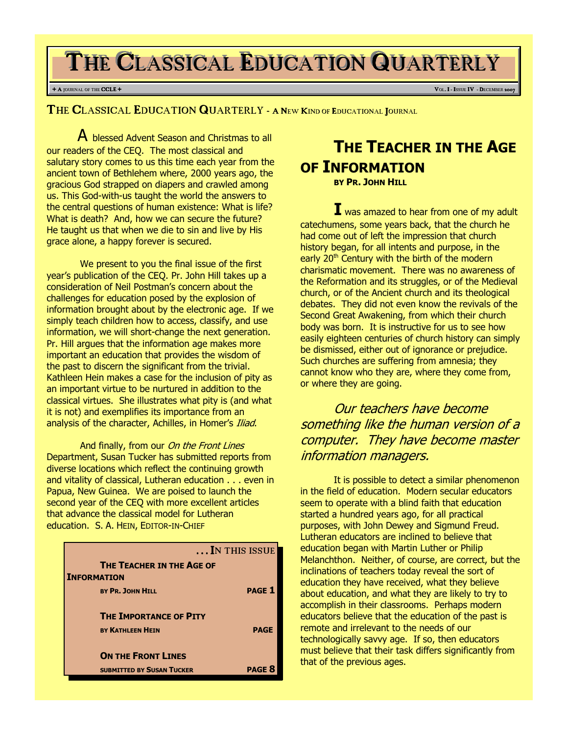# THE CLASSICAL EDUCATION QUARTERLY

### + A JOURNAL OF THE **CCLE** + **V**OL. **I** - **I** seconds the contract of the contract of the contract of the contract of the contract of the contract of the contract of the contract of the contract of the contract of the contr

THE CLASSICAL EDUCATION QUARTERLY - A NEW KIND OF EDUCATIONAL JOURNAL

A blessed Advent Season and Christmas to all our readers of the CEQ. The most classical and salutary story comes to us this time each year from the ancient town of Bethlehem where, 2000 years ago, the gracious God strapped on diapers and crawled among us. This God-with-us taught the world the answers to the central questions of human existence: What is life? What is death? And, how we can secure the future? He taught us that when we die to sin and live by His grace alone, a happy forever is secured.

We present to you the final issue of the first year's publication of the CEQ. Pr. John Hill takes up a consideration of Neil Postman's concern about the challenges for education posed by the explosion of information brought about by the electronic age. If we simply teach children how to access, classify, and use information, we will short-change the next generation. Pr. Hill argues that the information age makes more important an education that provides the wisdom of the past to discern the significant from the trivial. Kathleen Hein makes a case for the inclusion of pity as an important virtue to be nurtured in addition to the classical virtues. She illustrates what pity is (and what it is not) and exemplifies its importance from an analysis of the character, Achilles, in Homer's Iliad.

And finally, from our On the Front Lines Department, Susan Tucker has submitted reports from diverse locations which reflect the continuing growth and vitality of classical, Lutheran education . . . even in Papua, New Guinea. We are poised to launch the second year of the CEQ with more excellent articles that advance the classical model for Lutheran education. S. A. HEIN, EDITOR-IN-CHIEF

|                                                        | IN THIS ISSUE |
|--------------------------------------------------------|---------------|
| <b>THE TEACHER IN THE AGE OF</b><br><b>INFORMATION</b> |               |
| <b>BY PR. JOHN HILL</b>                                | <b>PAGE 1</b> |
| <b>THE IMPORTANCE OF PITY</b>                          |               |
| <b>BY KATHLEEN HEIN</b>                                | <b>PAGE</b>   |
| <b>ON THE FRONT LINES</b>                              |               |
| <b>SUBMITTED BY SUSAN TUCKER</b>                       | <b>PAGE 8</b> |

# **THE TEACHER IN THE AGE** OF INFORMATION

BY PR. JOHN HILL

**I** was amazed to hear from one of my adult catechumens, some years back, that the church he had come out of left the impression that church history began, for all intents and purpose, in the early 20<sup>th</sup> Century with the birth of the modern charismatic movement. There was no awareness of the Reformation and its struggles, or of the Medieval church, or of the Ancient church and its theological debates. They did not even know the revivals of the Second Great Awakening, from which their church body was born. It is instructive for us to see how easily eighteen centuries of church history can simply be dismissed, either out of ignorance or prejudice. Such churches are suffering from amnesia; they cannot know who they are, where they come from, or where they are going.

Our teachers have become something like the human version of a computer. They have become master information managers.

It is possible to detect a similar phenomenon in the field of education. Modern secular educators seem to operate with a blind faith that education started a hundred years ago, for all practical purposes, with John Dewey and Sigmund Freud. Lutheran educators are inclined to believe that education began with Martin Luther or Philip Melanchthon. Neither, of course, are correct, but the inclinations of teachers today reveal the sort of education they have received, what they believe about education, and what they are likely to try to accomplish in their classrooms. Perhaps modern educators believe that the education of the past is remote and irrelevant to the needs of our technologically savvy age. If so, then educators must believe that their task differs significantly from that of the previous ages.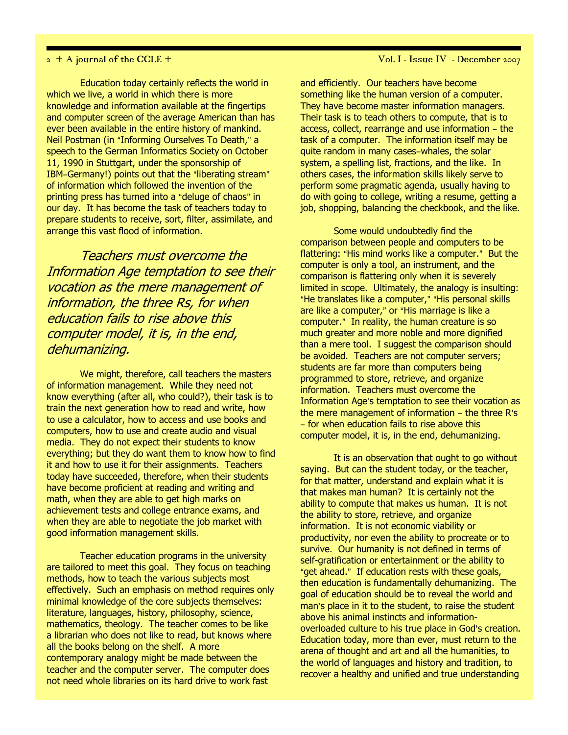Education today certainly reflects the world in which we live, a world in which there is more knowledge and information available at the fingertips and computer screen of the average American than has ever been available in the entire history of mankind. Neil Postman (in "Informing Ourselves To Death," a speech to the German Informatics Society on October 11, 1990 in Stuttgart, under the sponsorship of IBM-Germany!) points out that the "liberating stream" of information which followed the invention of the printing press has turned into a "deluge of chaos" in our day. It has become the task of teachers today to prepare students to receive, sort, filter, assimilate, and arrange this vast flood of information.

Teachers must overcome the Information Age temptation to see their vocation as the mere management of information, the three Rs, for when education fails to rise above this computer model, it is, in the end, dehumanizing.

We might, therefore, call teachers the masters of information management. While they need not know everything (after all, who could?), their task is to train the next generation how to read and write, how to use a calculator, how to access and use books and computers, how to use and create audio and visual media. They do not expect their students to know everything; but they do want them to know how to find it and how to use it for their assignments. Teachers today have succeeded, therefore, when their students have become proficient at reading and writing and math, when they are able to get high marks on achievement tests and college entrance exams, and when they are able to negotiate the job market with good information management skills.

Teacher education programs in the university are tailored to meet this goal. They focus on teaching methods, how to teach the various subjects most effectively. Such an emphasis on method requires only minimal knowledge of the core subjects themselves: literature, languages, history, philosophy, science, mathematics, theology. The teacher comes to be like a librarian who does not like to read, but knows where all the books belong on the shelf. A more contemporary analogy might be made between the teacher and the computer server. The computer does not need whole libraries on its hard drive to work fast

## 2 + A journal of the CCLE + Vol. I - Issue IV - December 2007

and efficiently. Our teachers have become something like the human version of a computer. They have become master information managers. Their task is to teach others to compute, that is to access, collect, rearrange and use information - the task of a computer. The information itself may be quite random in many cases-whales, the solar system, a spelling list, fractions, and the like. In others cases, the information skills likely serve to perform some pragmatic agenda, usually having to do with going to college, writing a resume, getting a job, shopping, balancing the checkbook, and the like.

Some would undoubtedly find the comparison between people and computers to be flattering: "His mind works like a computer." But the computer is only a tool, an instrument, and the comparison is flattering only when it is severely limited in scope. Ultimately, the analogy is insulting: "He translates like a computer," "His personal skills are like a computer," or "His marriage is like a computer." In reality, the human creature is so much greater and more noble and more dignified than a mere tool. I suggest the comparison should be avoided. Teachers are not computer servers; students are far more than computers being programmed to store, retrieve, and organize information. Teachers must overcome the Information Age's temptation to see their vocation as the mere management of information  $-$  the three R's - for when education fails to rise above this computer model, it is, in the end, dehumanizing.

It is an observation that ought to go without saying. But can the student today, or the teacher, for that matter, understand and explain what it is that makes man human? It is certainly not the ability to compute that makes us human. It is not the ability to store, retrieve, and organize information. It is not economic viability or productivity, nor even the ability to procreate or to survive. Our humanity is not defined in terms of self-gratification or entertainment or the ability to "get ahead." If education rests with these goals, then education is fundamentally dehumanizing. The goal of education should be to reveal the world and man's place in it to the student, to raise the student above his animal instincts and informationoverloaded culture to his true place in God's creation. Education today, more than ever, must return to the arena of thought and art and all the humanities, to the world of languages and history and tradition, to recover a healthy and unified and true understanding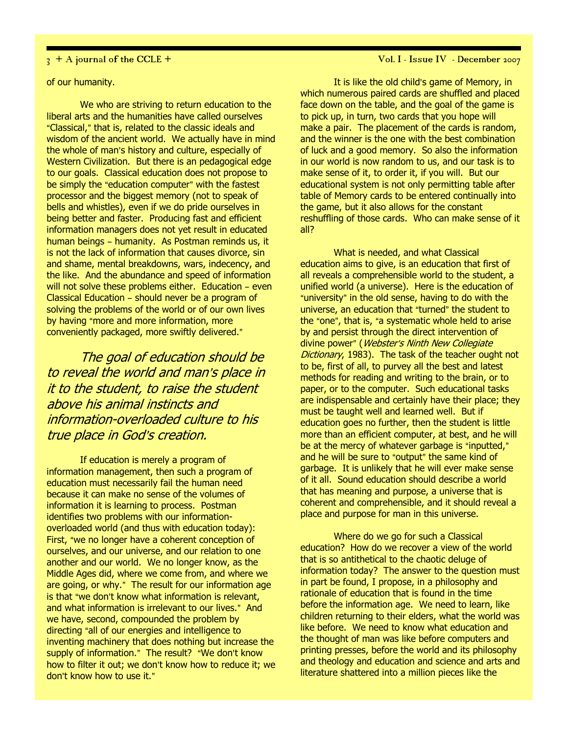## of our humanity.

We who are striving to return education to the liberal arts and the humanities have called ourselves "Classical," that is, related to the classic ideals and wisdom of the ancient world. We actually have in mind the whole of man's history and culture, especially of Western Civilization. But there is an pedagogical edge to our goals. Classical education does not propose to be simply the "education computer" with the fastest processor and the biggest memory (not to speak of bells and whistles), even if we do pride ourselves in being better and faster. Producing fast and efficient information managers does not yet result in educated human beings - humanity. As Postman reminds us, it is not the lack of information that causes divorce, sin and shame, mental breakdowns, wars, indecency, and the like. And the abundance and speed of information will not solve these problems either. Education - even Classical Education - should never be a program of solving the problems of the world or of our own lives by having "more and more information, more conveniently packaged, more swiftly delivered."

The goal of education should be to reveal the world and man's place in it to the student, to raise the student above his animal instincts and information-overloaded culture to his true place in God's creation.

If education is merely a program of information management, then such a program of education must necessarily fail the human need because it can make no sense of the volumes of information it is learning to process. Postman identifies two problems with our informationoverloaded world (and thus with education today): First, "we no longer have a coherent conception of ourselves, and our universe, and our relation to one another and our world. We no longer know, as the Middle Ages did, where we come from, and where we are going, or why." The result for our information age is that "we don't know what information is relevant, and what information is irrelevant to our lives." And we have, second, compounded the problem by directing "all of our energies and intelligence to inventing machinery that does nothing but increase the supply of information." The result? "We don't know how to filter it out; we don't know how to reduce it; we don't know how to use it."

 $\frac{1}{3}$  + A journal of the CCLE +  $\frac{1}{3}$  +  $\frac{1}{2}$  and  $\frac{1}{2}$  and  $\frac{1}{3}$  and  $\frac{1}{4}$  and  $\frac{1}{2}$  and  $\frac{1}{2}$  and  $\frac{1}{2}$  and  $\frac{1}{2}$  and  $\frac{1}{2}$  and  $\frac{1}{2}$  and  $\frac{1}{2}$  and  $\frac{1}{2}$  and  $\frac{1$ 

It is like the old child's game of Memory, in which numerous paired cards are shuffled and placed face down on the table, and the goal of the game is to pick up, in turn, two cards that you hope will make a pair. The placement of the cards is random, and the winner is the one with the best combination of luck and a good memory. So also the information in our world is now random to us, and our task is to make sense of it, to order it, if you will. But our educational system is not only permitting table after table of Memory cards to be entered continually into the game, but it also allows for the constant reshuffling of those cards. Who can make sense of it all?

What is needed, and what Classical education aims to give, is an education that first of all reveals a comprehensible world to the student, a unified world (a universe). Here is the education of "university" in the old sense, having to do with the universe, an education that "turned" the student to the "one", that is, "a systematic whole held to arise by and persist through the direct intervention of divine power" (Webster's Ninth New Collegiate Dictionary, 1983). The task of the teacher ought not to be, first of all, to purvey all the best and latest methods for reading and writing to the brain, or to paper, or to the computer. Such educational tasks are indispensable and certainly have their place; they must be taught well and learned well. But if education goes no further, then the student is little more than an efficient computer, at best, and he will be at the mercy of whatever garbage is "inputted," and he will be sure to "output" the same kind of garbage. It is unlikely that he will ever make sense of it all. Sound education should describe a world that has meaning and purpose, a universe that is coherent and comprehensible, and it should reveal a place and purpose for man in this universe.

Where do we go for such a Classical education? How do we recover a view of the world that is so antithetical to the chaotic deluge of information today? The answer to the question must in part be found, I propose, in a philosophy and rationale of education that is found in the time before the information age. We need to learn, like children returning to their elders, what the world was like before. We need to know what education and the thought of man was like before computers and printing presses, before the world and its philosophy and theology and education and science and arts and literature shattered into a million pieces like the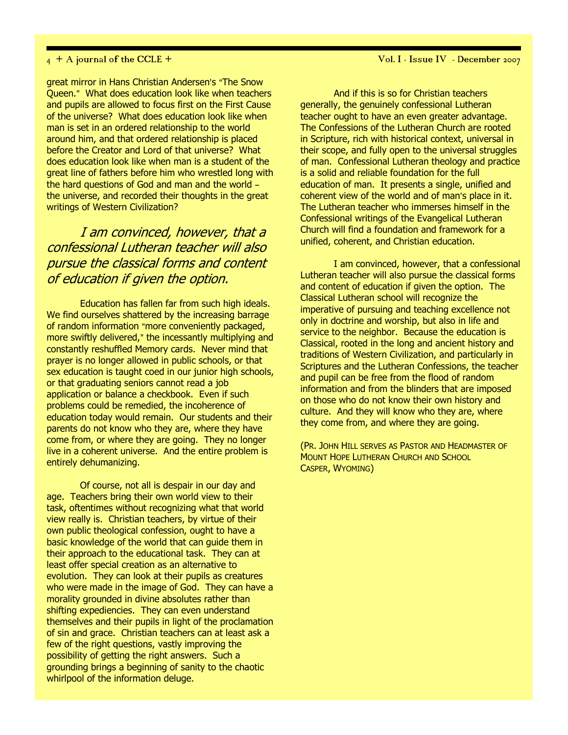great mirror in Hans Christian Andersen's "The Snow Queen." What does education look like when teachers and pupils are allowed to focus first on the First Cause of the universe? What does education look like when man is set in an ordered relationship to the world around him, and that ordered relationship is placed before the Creator and Lord of that universe? What does education look like when man is a student of the great line of fathers before him who wrestled long with the hard questions of God and man and the world  $$ the universe, and recorded their thoughts in the great writings of Western Civilization?

I am convinced, however, that a confessional Lutheran teacher will also pursue the classical forms and content of education if given the option.

Education has fallen far from such high ideals. We find ourselves shattered by the increasing barrage of random information "more conveniently packaged, more swiftly delivered," the incessantly multiplying and constantly reshuffled Memory cards. Never mind that prayer is no longer allowed in public schools, or that sex education is taught coed in our junior high schools, or that graduating seniors cannot read a job application or balance a checkbook. Even if such problems could be remedied, the incoherence of education today would remain. Our students and their parents do not know who they are, where they have come from, or where they are going. They no longer live in a coherent universe. And the entire problem is entirely dehumanizing.

Of course, not all is despair in our day and age. Teachers bring their own world view to their task, oftentimes without recognizing what that world view really is. Christian teachers, by virtue of their own public theological confession, ought to have a basic knowledge of the world that can guide them in their approach to the educational task. They can at least offer special creation as an alternative to evolution. They can look at their pupils as creatures who were made in the image of God. They can have a morality grounded in divine absolutes rather than shifting expediencies. They can even understand themselves and their pupils in light of the proclamation of sin and grace. Christian teachers can at least ask a few of the right questions, vastly improving the possibility of getting the right answers. Such a grounding brings a beginning of sanity to the chaotic whirlpool of the information deluge.

And if this is so for Christian teachers generally, the genuinely confessional Lutheran teacher ought to have an even greater advantage. The Confessions of the Lutheran Church are rooted in Scripture, rich with historical context, universal in their scope, and fully open to the universal struggles of man. Confessional Lutheran theology and practice is a solid and reliable foundation for the full education of man. It presents a single, unified and coherent view of the world and of man's place in it. The Lutheran teacher who immerses himself in the Confessional writings of the Evangelical Lutheran Church will find a foundation and framework for a unified, coherent, and Christian education.

I am convinced, however, that a confessional Lutheran teacher will also pursue the classical forms and content of education if given the option. The Classical Lutheran school will recognize the imperative of pursuing and teaching excellence not only in doctrine and worship, but also in life and service to the neighbor. Because the education is Classical, rooted in the long and ancient history and traditions of Western Civilization, and particularly in Scriptures and the Lutheran Confessions, the teacher and pupil can be free from the flood of random information and from the blinders that are imposed on those who do not know their own history and culture. And they will know who they are, where they come from, and where they are going.

(PR. JOHN HILL SERVES AS PASTOR AND HEADMASTER OF MOUNT HOPE LUTHERAN CHURCH AND SCHOOL CASPER, WYOMING)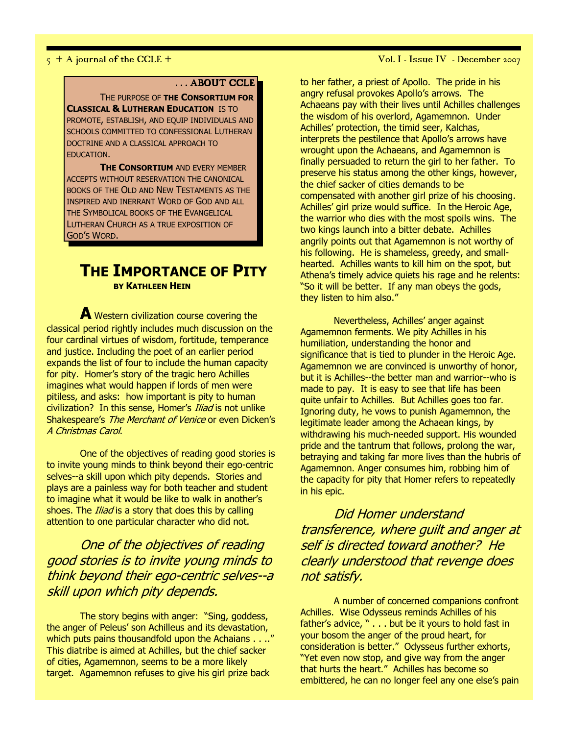## ... ABOUT CCLE

THE PURPOSE OF THE CONSORTIUM FOR **CLASSICAL & LUTHERAN EDUCATION IS TO** PROMOTE, ESTABLISH, AND EQUIP INDIVIDUALS AND SCHOOLS COMMITTED TO CONFESSIONAL LUTHERAN DOCTRINE AND A CLASSICAL APPROACH TO EDUCATION.

**THE CONSORTIUM AND EVERY MEMBER** ACCEPTS WITHOUT RESERVATION THE CANONICAL BOOKS OF THE OLD AND NEW TESTAMENTS AS THE INSPIRED AND INERRANT WORD OF GOD AND ALL THE SYMBOLICAL BOOKS OF THE EVANGELICAL LUTHERAN CHURCH AS A TRUE EXPOSITION OF GOD'S WORD.

## THE IMPORTANCE OF PITY BY KATHLEEN HEIN

A Western civilization course covering the classical period rightly includes much discussion on the four cardinal virtues of wisdom, fortitude, temperance and justice. Including the poet of an earlier period expands the list of four to include the human capacity for pity. Homer's story of the tragic hero Achilles imagines what would happen if lords of men were pitiless, and asks: how important is pity to human civilization? In this sense, Homer's *Iliad* is not unlike Shakespeare's The Merchant of Venice or even Dicken's A Christmas Carol.

One of the objectives of reading good stories is to invite young minds to think beyond their ego-centric selves--a skill upon which pity depends. Stories and plays are a painless way for both teacher and student to imagine what it would be like to walk in another's shoes. The *Iliad* is a story that does this by calling attention to one particular character who did not.

One of the objectives of reading good stories is to invite young minds to think beyond their ego-centric selves--a skill upon which pity depends.

The story begins with anger: "Sing, goddess, the anger of Peleus' son Achilleus and its devastation, which puts pains thousandfold upon the Achaians . . .." This diatribe is aimed at Achilles, but the chief sacker of cities, Agamemnon, seems to be a more likely target. Agamemnon refuses to give his girl prize back

to her father, a priest of Apollo. The pride in his angry refusal provokes Apollo's arrows. The Achaeans pay with their lives until Achilles challenges the wisdom of his overlord, Agamemnon. Under Achilles' protection, the timid seer, Kalchas, interprets the pestilence that Apollo's arrows have wrought upon the Achaeans, and Agamemnon is finally persuaded to return the girl to her father. To preserve his status among the other kings, however, the chief sacker of cities demands to be compensated with another girl prize of his choosing. Achilles' girl prize would suffice. In the Heroic Age, the warrior who dies with the most spoils wins. The two kings launch into a bitter debate. Achilles angrily points out that Agamemnon is not worthy of his following. He is shameless, greedy, and smallhearted. Achilles wants to kill him on the spot, but Athena's timely advice quiets his rage and he relents: "So it will be better. If any man obeys the gods, they listen to him also."

Nevertheless, Achilles' anger against Agamemnon ferments. We pity Achilles in his humiliation, understanding the honor and significance that is tied to plunder in the Heroic Age. Agamemnon we are convinced is unworthy of honor, but it is Achilles--the better man and warrior--who is made to pay. It is easy to see that life has been quite unfair to Achilles. But Achilles goes too far. Ignoring duty, he vows to punish Agamemnon, the legitimate leader among the Achaean kings, by withdrawing his much-needed support. His wounded pride and the tantrum that follows, prolong the war, betraying and taking far more lives than the hubris of Agamemnon. Anger consumes him, robbing him of the capacity for pity that Homer refers to repeatedly in his epic.

Did Homer understand transference, where guilt and anger at self is directed toward another? He clearly understood that revenge does not satisfy.

A number of concerned companions confront Achilles. Wise Odysseus reminds Achilles of his father's advice, " . . . but be it yours to hold fast in your bosom the anger of the proud heart, for consideration is better." Odysseus further exhorts, "Yet even now stop, and give way from the anger that hurts the heart." Achilles has become so embittered, he can no longer feel any one else's pain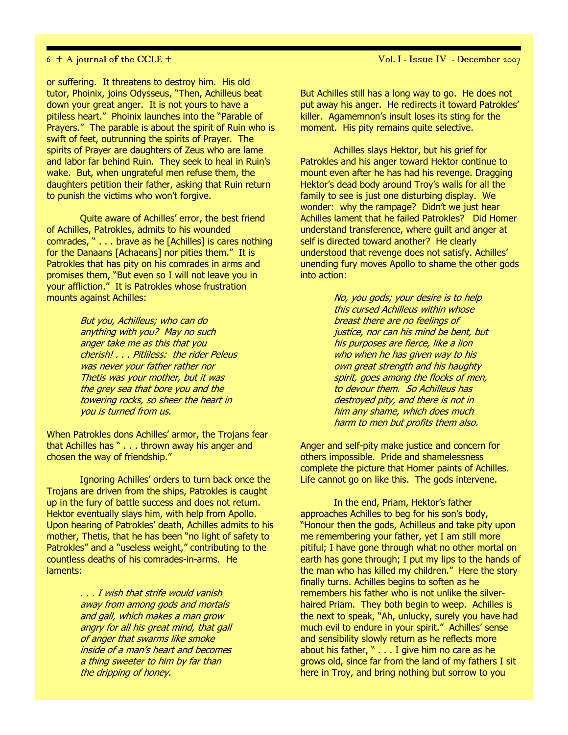or suffering. It threatens to destroy him. His old tutor, Phoinix, joins Odysseus, "Then, Achilleus beat down your great anger. It is not yours to have a pitiless heart." Phoinix launches into the "Parable of Prayers." The parable is about the spirit of Ruin who is swift of feet, outrunning the spirits of Prayer. The spirits of Prayer are daughters of Zeus who are lame and labor far behind Ruin. They seek to heal in Ruin's wake. But, when ungrateful men refuse them, the daughters petition their father, asking that Ruin return to punish the victims who won't forgive.

Quite aware of Achilles' error, the best friend of Achilles, Patrokles, admits to his wounded comrades, " . . . brave as he [Achilles] is cares nothing for the Danaans [Achaeans] nor pities them." It is Patrokles that has pity on his comrades in arms and promises them, "But even so I will not leave you in your affliction." It is Patrokles whose frustration mounts against Achilles:

> But you, Achilleus; who can do anything with you? May no such anger take me as this that you cherish! . . . Pitliless: the rider Peleus was never your father rather nor Thetis was your mother, but it was the grey sea that bore you and the towering rocks, so sheer the heart in you is turned from us.

When Patrokles dons Achilles' armor, the Trojans fear that Achilles has " . . . thrown away his anger and chosen the way of friendship."

Ignoring Achilles' orders to turn back once the Trojans are driven from the ships, Patrokles is caught up in the fury of battle success and does not return. Hektor eventually slays him, with help from Apollo. Upon hearing of Patrokles' death, Achilles admits to his mother, Thetis, that he has been "no light of safety to Patrokles" and a "useless weight," contributing to the countless deaths of his comrades-in-arms. He laments:

> . . . I wish that strife would vanish away from among gods and mortals and gall, which makes a man grow angry for all his great mind, that gall of anger that swarms like smoke inside of a man's heart and becomes a thing sweeter to him by far than the dripping of honey.

 $6 + A$  journal of the CCLE +  $V$ ol. I - Issue IV - December 2007

But Achilles still has a long way to go. He does not put away his anger. He redirects it toward Patrokles' killer. Agamemnon's insult loses its sting for the moment. His pity remains quite selective.

Achilles slays Hektor, but his grief for Patrokles and his anger toward Hektor continue to mount even after he has had his revenge. Dragging Hektor's dead body around Troy's walls for all the family to see is just one disturbing display. We wonder: why the rampage? Didn't we just hear Achilles lament that he failed Patrokles? Did Homer understand transference, where guilt and anger at self is directed toward another? He clearly understood that revenge does not satisfy. Achilles' unending fury moves Apollo to shame the other gods into action:

> No, you gods; your desire is to help this cursed Achilleus within whose breast there are no feelings of justice, nor can his mind be bent, but his purposes are fierce, like a lion who when he has given way to his own great strength and his haughty spirit, goes among the flocks of men, to devour them. So Achilleus has destroyed pity, and there is not in him any shame, which does much harm to men but profits them also.

Anger and self-pity make justice and concern for others impossible. Pride and shamelessness complete the picture that Homer paints of Achilles. Life cannot go on like this. The gods intervene.

In the end, Priam, Hektor's father approaches Achilles to beg for his son's body, "Honour then the gods, Achilleus and take pity upon me remembering your father, yet I am still more pitiful; I have gone through what no other mortal on earth has gone through; I put my lips to the hands of the man who has killed my children." Here the story finally turns. Achilles begins to soften as he remembers his father who is not unlike the silverhaired Priam. They both begin to weep. Achilles is the next to speak, "Ah, unlucky, surely you have had much evil to endure in your spirit." Achilles' sense and sensibility slowly return as he reflects more about his father, " . . . I give him no care as he grows old, since far from the land of my fathers I sit here in Troy, and bring nothing but sorrow to you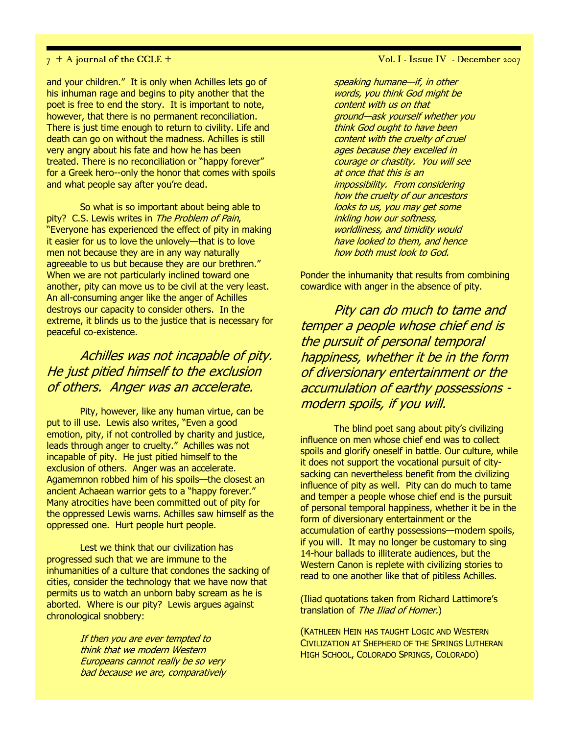and your children." It is only when Achilles lets go of his inhuman rage and begins to pity another that the poet is free to end the story. It is important to note, however, that there is no permanent reconciliation. There is just time enough to return to civility. Life and death can go on without the madness. Achilles is still very angry about his fate and how he has been treated. There is no reconciliation or "happy forever" for a Greek hero--only the honor that comes with spoils and what people say after you're dead.

So what is so important about being able to pity? C.S. Lewis writes in The Problem of Pain, "Everyone has experienced the effect of pity in making it easier for us to love the unlovely—that is to love men not because they are in any way naturally agreeable to us but because they are our brethren." When we are not particularly inclined toward one another, pity can move us to be civil at the very least. An all-consuming anger like the anger of Achilles destroys our capacity to consider others. In the extreme, it blinds us to the justice that is necessary for peaceful co-existence.

## Achilles was not incapable of pity. He just pitied himself to the exclusion of others. Anger was an accelerate.

Pity, however, like any human virtue, can be put to ill use. Lewis also writes, "Even a good emotion, pity, if not controlled by charity and justice, leads through anger to cruelty." Achilles was not incapable of pity. He just pitied himself to the exclusion of others. Anger was an accelerate. Agamemnon robbed him of his spoils—the closest an ancient Achaean warrior gets to a "happy forever." Many atrocities have been committed out of pity for the oppressed Lewis warns. Achilles saw himself as the oppressed one. Hurt people hurt people.

Lest we think that our civilization has progressed such that we are immune to the inhumanities of a culture that condones the sacking of cities, consider the technology that we have now that permits us to watch an unborn baby scream as he is aborted. Where is our pity? Lewis argues against chronological snobbery:

> If then you are ever tempted to think that we modern Western Europeans cannot really be so very bad because we are, comparatively

 $7 + A$  journal of the CCLE +  $V$ ol. I - Issue IV - December 2007

speaking humane—if, in other words, you think God might be content with us on that ground—ask yourself whether you think God ought to have been content with the cruelty of cruel ages because they excelled in courage or chastity. You will see at once that this is an impossibility. From considering how the cruelty of our ancestors looks to us, you may get some inkling how our softness, worldliness, and timidity would have looked to them, and hence how both must look to God.

Ponder the inhumanity that results from combining cowardice with anger in the absence of pity.

Pity can do much to tame and temper a people whose chief end is the pursuit of personal temporal happiness, whether it be in the form of diversionary entertainment or the accumulation of earthy possessions modern spoils, if you will.

The blind poet sang about pity's civilizing influence on men whose chief end was to collect spoils and glorify oneself in battle. Our culture, while it does not support the vocational pursuit of citysacking can nevertheless benefit from the civilizing influence of pity as well. Pity can do much to tame and temper a people whose chief end is the pursuit of personal temporal happiness, whether it be in the form of diversionary entertainment or the accumulation of earthy possessions—modern spoils, if you will. It may no longer be customary to sing 14-hour ballads to illiterate audiences, but the Western Canon is replete with civilizing stories to read to one another like that of pitiless Achilles.

(Iliad quotations taken from Richard Lattimore's translation of The Iliad of Homer.)

(KATHLEEN HEIN HAS TAUGHT LOGIC AND WESTERN CIVILIZATION AT SHEPHERD OF THE SPRINGS LUTHERAN HIGH SCHOOL, COLORADO SPRINGS, COLORADO)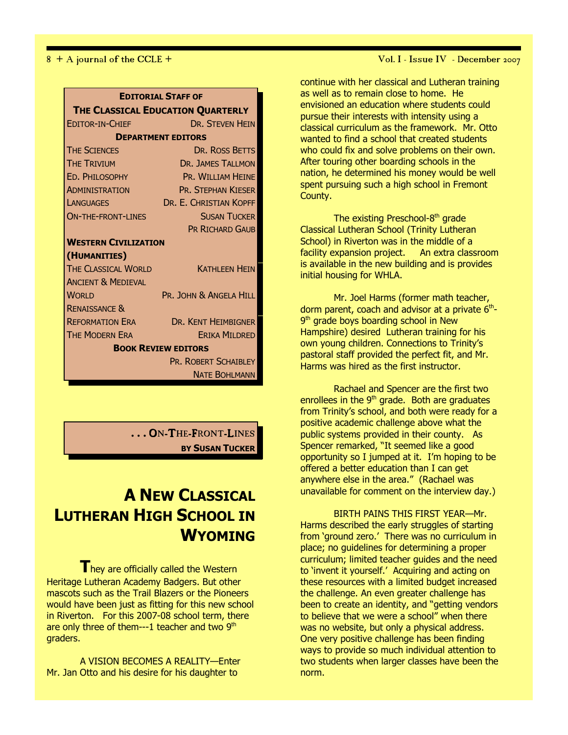| THE CLASSICAL EDUCATION QUARTERLY<br><b>DR. STEVEN HEIN</b><br><b>EDITOR-IN-CHIEF</b><br><b>DEPARTMENT EDITORS</b><br><b>THE SCIENCES</b><br>DR. ROSS BETTS<br><b>THE TRIVIUM</b><br><b>DR. JAMES TALLMON</b><br>ED. PHILOSOPHY<br><b>PR. WILLTAM HEINE</b><br><b>PR. STEPHAN KIESER</b><br><b>ADMINISTRATION</b><br>DR. E. CHRISTIAN KOPFF<br>LANGUAGES<br><b>SUSAN TUCKER</b><br><b>ON-THE-FRONT-LINES</b><br><b>PR RICHARD GAUB</b><br><b>WESTERN CIVILIZATION</b><br>(HUMANITIES)<br><b>THE CLASSICAL WORLD</b><br><b>KATHLEEN HEIN</b><br><b>ANCIENT &amp; MEDIEVAL</b><br>PR. JOHN & ANGELA HILL<br><b>WORLD</b><br><b>RENAISSANCE &amp;</b><br><b>REFORMATION ERA</b><br><b>DR. KENT HEIMBIGNER</b><br><b>THE MODERN ERA</b><br><b>ERIKA MILDRED</b><br><b>BOOK REVIEW EDITORS</b><br><b>PR. ROBERT SCHAIBLEY</b> | <b>EDITORIAL STAFF OF</b> |  |  |
|--------------------------------------------------------------------------------------------------------------------------------------------------------------------------------------------------------------------------------------------------------------------------------------------------------------------------------------------------------------------------------------------------------------------------------------------------------------------------------------------------------------------------------------------------------------------------------------------------------------------------------------------------------------------------------------------------------------------------------------------------------------------------------------------------------------------------|---------------------------|--|--|
|                                                                                                                                                                                                                                                                                                                                                                                                                                                                                                                                                                                                                                                                                                                                                                                                                          |                           |  |  |
|                                                                                                                                                                                                                                                                                                                                                                                                                                                                                                                                                                                                                                                                                                                                                                                                                          |                           |  |  |
|                                                                                                                                                                                                                                                                                                                                                                                                                                                                                                                                                                                                                                                                                                                                                                                                                          |                           |  |  |
|                                                                                                                                                                                                                                                                                                                                                                                                                                                                                                                                                                                                                                                                                                                                                                                                                          |                           |  |  |
|                                                                                                                                                                                                                                                                                                                                                                                                                                                                                                                                                                                                                                                                                                                                                                                                                          |                           |  |  |
|                                                                                                                                                                                                                                                                                                                                                                                                                                                                                                                                                                                                                                                                                                                                                                                                                          |                           |  |  |
|                                                                                                                                                                                                                                                                                                                                                                                                                                                                                                                                                                                                                                                                                                                                                                                                                          |                           |  |  |
|                                                                                                                                                                                                                                                                                                                                                                                                                                                                                                                                                                                                                                                                                                                                                                                                                          |                           |  |  |
|                                                                                                                                                                                                                                                                                                                                                                                                                                                                                                                                                                                                                                                                                                                                                                                                                          |                           |  |  |
|                                                                                                                                                                                                                                                                                                                                                                                                                                                                                                                                                                                                                                                                                                                                                                                                                          |                           |  |  |
|                                                                                                                                                                                                                                                                                                                                                                                                                                                                                                                                                                                                                                                                                                                                                                                                                          |                           |  |  |
|                                                                                                                                                                                                                                                                                                                                                                                                                                                                                                                                                                                                                                                                                                                                                                                                                          |                           |  |  |
|                                                                                                                                                                                                                                                                                                                                                                                                                                                                                                                                                                                                                                                                                                                                                                                                                          |                           |  |  |
|                                                                                                                                                                                                                                                                                                                                                                                                                                                                                                                                                                                                                                                                                                                                                                                                                          |                           |  |  |
|                                                                                                                                                                                                                                                                                                                                                                                                                                                                                                                                                                                                                                                                                                                                                                                                                          |                           |  |  |
|                                                                                                                                                                                                                                                                                                                                                                                                                                                                                                                                                                                                                                                                                                                                                                                                                          |                           |  |  |
|                                                                                                                                                                                                                                                                                                                                                                                                                                                                                                                                                                                                                                                                                                                                                                                                                          |                           |  |  |
|                                                                                                                                                                                                                                                                                                                                                                                                                                                                                                                                                                                                                                                                                                                                                                                                                          |                           |  |  |
|                                                                                                                                                                                                                                                                                                                                                                                                                                                                                                                                                                                                                                                                                                                                                                                                                          |                           |  |  |
|                                                                                                                                                                                                                                                                                                                                                                                                                                                                                                                                                                                                                                                                                                                                                                                                                          |                           |  |  |
| <b>NATE BOHLMANN</b>                                                                                                                                                                                                                                                                                                                                                                                                                                                                                                                                                                                                                                                                                                                                                                                                     |                           |  |  |

**. . .** ON-THE-FRONT-LINES BY SUSAN TUCKER

# A NEW CLASSICAL LUTHERAN HIGH SCHOOL IN **WYOMING**

 $T$ hey are officially called the Western Heritage Lutheran Academy Badgers. But other mascots such as the Trail Blazers or the Pioneers would have been just as fitting for this new school in Riverton. For this 2007-08 school term, there are only three of them---1 teacher and two 9<sup>th</sup> graders.

A VISION BECOMES A REALITY—Enter Mr. Jan Otto and his desire for his daughter to

continue with her classical and Lutheran training as well as to remain close to home. He envisioned an education where students could pursue their interests with intensity using a classical curriculum as the framework. Mr. Otto wanted to find a school that created students who could fix and solve problems on their own. After touring other boarding schools in the nation, he determined his money would be well spent pursuing such a high school in Fremont County.

The existing Preschool-8<sup>th</sup> grade Classical Lutheran School (Trinity Lutheran School) in Riverton was in the middle of a facility expansion project. An extra classroom is available in the new building and is provides initial housing for WHLA.

Mr. Joel Harms (former math teacher, dorm parent, coach and advisor at a private  $6<sup>th</sup>$ -9<sup>th</sup> grade boys boarding school in New Hampshire) desired Lutheran training for his own young children. Connections to Trinity's pastoral staff provided the perfect fit, and Mr. Harms was hired as the first instructor.

Rachael and Spencer are the first two enrollees in the  $9<sup>th</sup>$  grade. Both are graduates from Trinity's school, and both were ready for a positive academic challenge above what the public systems provided in their county. As Spencer remarked, "It seemed like a good opportunity so I jumped at it. I'm hoping to be offered a better education than I can get anywhere else in the area." (Rachael was unavailable for comment on the interview day.)

BIRTH PAINS THIS FIRST YEAR—Mr. Harms described the early struggles of starting from 'ground zero.' There was no curriculum in place; no guidelines for determining a proper curriculum; limited teacher guides and the need to 'invent it yourself.' Acquiring and acting on these resources with a limited budget increased the challenge. An even greater challenge has been to create an identity, and "getting vendors to believe that we were a school" when there was no website, but only a physical address. One very positive challenge has been finding ways to provide so much individual attention to two students when larger classes have been the norm.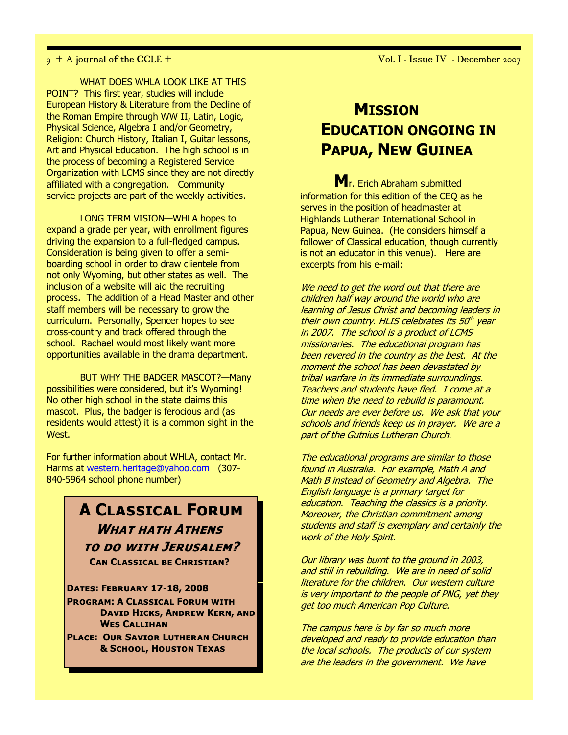$9 + A$  journal of the CCLE +  $\overline{V}$  of  $A$  issue IV  $\overline{V}$  - December 2007

WHAT DOES WHLA LOOK LIKE AT THIS POINT? This first year, studies will include European History & Literature from the Decline of the Roman Empire through WW II, Latin, Logic, Physical Science, Algebra I and/or Geometry, Religion: Church History, Italian I, Guitar lessons, Art and Physical Education. The high school is in the process of becoming a Registered Service Organization with LCMS since they are not directly affiliated with a congregation. Community service projects are part of the weekly activities.

LONG TERM VISION—WHLA hopes to expand a grade per year, with enrollment figures driving the expansion to a full-fledged campus. Consideration is being given to offer a semiboarding school in order to draw clientele from not only Wyoming, but other states as well. The inclusion of a website will aid the recruiting process. The addition of a Head Master and other staff members will be necessary to grow the curriculum. Personally, Spencer hopes to see cross-country and track offered through the school. Rachael would most likely want more opportunities available in the drama department.

BUT WHY THE BADGER MASCOT?—Many possibilities were considered, but it's Wyoming! No other high school in the state claims this mascot. Plus, the badger is ferocious and (as residents would attest) it is a common sight in the West.

For further information about WHLA, contact Mr. Harms at western.heritage@yahoo.com (307- 840-5964 school phone number)

## A Classical Forum WHAT HATH ATHENS to do with Jerusalem? Can Classical be Christian?

Dates: February 17-18, 2008 Program: A Classical Forum with David Hicks, Andrew Kern, and Wes Callihan

Place: Our Savior Lutheran Church & School, Houston Texas

# **MISSION** EDUCATION ONGOING IN PAPUA, NEW GUINEA

M<sub>r. Frich Abraham submitted</sub> information for this edition of the CEQ as he serves in the position of headmaster at Highlands Lutheran International School in Papua, New Guinea. (He considers himself a follower of Classical education, though currently is not an educator in this venue). Here are excerpts from his e-mail:

We need to get the word out that there are children half way around the world who are learning of Jesus Christ and becoming leaders in their own country. HLIS celebrates its 50th year in 2007. The school is a product of LCMS missionaries. The educational program has been revered in the country as the best. At the moment the school has been devastated by tribal warfare in its immediate surroundings. Teachers and students have fled. I come at a time when the need to rebuild is paramount. Our needs are ever before us. We ask that your schools and friends keep us in prayer. We are a part of the Gutnius Lutheran Church.

The educational programs are similar to those found in Australia. For example, Math A and Math B instead of Geometry and Algebra. The English language is a primary target for education. Teaching the classics is a priority. Moreover, the Christian commitment among students and staff is exemplary and certainly the work of the Holy Spirit.

Our library was burnt to the ground in 2003, and still in rebuilding. We are in need of solid literature for the children. Our western culture is very important to the people of PNG, yet they get too much American Pop Culture.

The campus here is by far so much more developed and ready to provide education than the local schools. The products of our system are the leaders in the government. We have